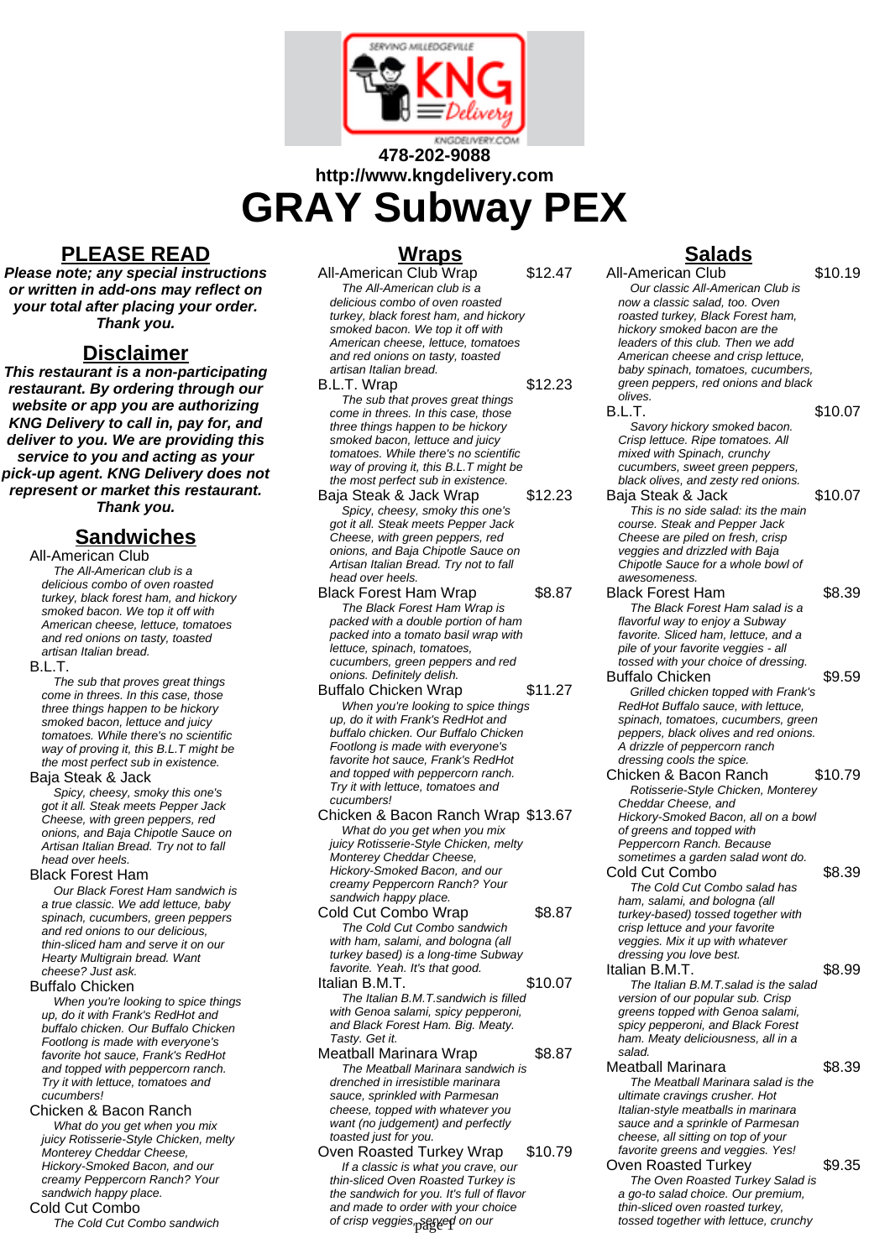

# **478-202-9088 http://www.kngdelivery.com GRAY Subway PEX**

# **PLEASE READ**

**Please note; any special instructions or written in add-ons may reflect on your total after placing your order. Thank you.**

### **Disclaimer**

**This restaurant is a non-participating restaurant. By ordering through our website or app you are authorizing KNG Delivery to call in, pay for, and deliver to you. We are providing this service to you and acting as your pick-up agent. KNG Delivery does not represent or market this restaurant. Thank you.**

# **Sandwiches**

All-American Club

The All-American club is a delicious combo of oven roasted turkey, black forest ham, and hickory smoked bacon. We top it off with American cheese, lettuce, tomatoes and red onions on tasty, toasted artisan Italian bread.

#### B.L.T.

The sub that proves great things come in threes. In this case, those three things happen to be hickory smoked bacon, lettuce and juicy tomatoes. While there's no scientific way of proving it, this B.L.T might be the most perfect sub in existence.

#### Baja Steak & Jack

Spicy, cheesy, smoky this one's got it all. Steak meets Pepper Jack Cheese, with green peppers, red onions, and Baja Chipotle Sauce on Artisan Italian Bread. Try not to fall head over heels.

#### Black Forest Ham

Our Black Forest Ham sandwich is a true classic. We add lettuce, baby spinach, cucumbers, green peppers and red onions to our delicious, thin-sliced ham and serve it on our Hearty Multigrain bread. Want cheese? Just ask.

#### Buffalo Chicken

When you're looking to spice things up, do it with Frank's RedHot and buffalo chicken. Our Buffalo Chicken Footlong is made with everyone's favorite hot sauce, Frank's RedHot and topped with peppercorn ranch. Try it with lettuce, tomatoes and cucumbers!

#### Chicken & Bacon Ranch

What do you get when you mix juicy Rotisserie-Style Chicken, melty Monterey Cheddar Cheese, Hickory-Smoked Bacon, and our creamy Peppercorn Ranch? Your sandwich happy place. Cold Cut Combo

The Cold Cut Combo sandwich

# **Wraps**

All-American Club Wrap \$12.47 The All-American club is a delicious combo of oven roasted turkey, black forest ham, and hickory smoked bacon. We top it off with American cheese, lettuce, tomatoes and red onions on tasty, toasted artisan Italian bread. B.L.T. Wrap \$12.23 The sub that proves great things come in threes. In this case, those three things happen to be hickory smoked bacon, lettuce and juicy tomatoes. While there's no scientific way of proving it, this B.L.T might be the most perfect sub in existence. Baja Steak & Jack Wrap \$12.23 Spicy, cheesy, smoky this one's got it all. Steak meets Pepper Jack Cheese, with green peppers, red onions, and Baja Chipotle Sauce on Artisan Italian Bread. Try not to fall head over heels. Black Forest Ham Wrap \$8.87 The Black Forest Ham Wrap is packed with a double portion of ham packed into a tomato basil wrap with lettuce, spinach, tomatoes,

cucumbers, green peppers and red onions. Definitely delish. Buffalo Chicken Wrap \$11.27 When you're looking to spice things up, do it with Frank's RedHot and buffalo chicken. Our Buffalo Chicken Footlong is made with everyone's favorite hot sauce, Frank's RedHot

and topped with peppercorn ranch. Try it with lettuce, tomatoes and cucumbers! Chicken & Bacon Ranch Wrap \$13.67 What do you get when you mix juicy Rotisserie-Style Chicken, melty Monterey Cheddar Cheese, Hickory-Smoked Bacon, and our

creamy Peppercorn Ranch? Your sandwich happy place. Cold Cut Combo Wrap \$8.87

The Cold Cut Combo sandwich with ham, salami, and bologna (all turkey based) is a long-time Subway favorite. Yeah. It's that good. Italian B.M.T. \$10.07

#### The Italian B.M.T.sandwich is filled with Genoa salami, spicy pepperoni, and Black Forest Ham. Big. Meaty. Tasty. Get it.

- Meatball Marinara Wrap \$8.87 The Meatball Marinara sandwich is drenched in irresistible marinara sauce, sprinkled with Parmesan cheese, topped with whatever you want (no judgement) and perfectly toasted just for you.
- Oven Roasted Turkey Wrap \$10.79 If a classic is what you crave, our thin-sliced Oven Roasted Turkey is the sandwich for you. It's full of flavor and made to order with your choice of crisp veggies, served on our

# **Salads**

| All-American Club                     | \$10.19 |
|---------------------------------------|---------|
| Our classic All-American Club is      |         |
| now a classic salad, too. Oven        |         |
| roasted turkey, Black Forest ham,     |         |
| hickory smoked bacon are the          |         |
| leaders of this club. Then we add     |         |
| American cheese and crisp lettuce.    |         |
| baby spinach, tomatoes, cucumbers,    |         |
| green peppers, red onions and black   |         |
| olives.                               |         |
| B.L.T.                                | \$10.07 |
| Savory hickory smoked bacon.          |         |
| Crisp lettuce. Ripe tomatoes. All     |         |
| mixed with Spinach, crunchy           |         |
| cucumbers, sweet green peppers,       |         |
| black olives, and zesty red onions.   |         |
|                                       | \$10.07 |
| Baja Steak & Jack                     |         |
| This is no side salad: its the main   |         |
| course. Steak and Pepper Jack         |         |
| Cheese are piled on fresh, crisp      |         |
| veggies and drizzled with Baja        |         |
| Chipotle Sauce for a whole bowl of    |         |
| awesomeness.                          |         |
| <b>Black Forest Ham</b>               | \$8.39  |
| The Black Forest Ham salad is a       |         |
| flavorful way to enjoy a Subway       |         |
| favorite. Sliced ham, lettuce, and a  |         |
| pile of your favorite veggies - all   |         |
| tossed with your choice of dressing.  |         |
| <b>Buffalo Chicken</b>                | \$9.59  |
| Grilled chicken topped with Frank's   |         |
| RedHot Buffalo sauce, with lettuce,   |         |
| spinach, tomatoes, cucumbers, green   |         |
| peppers, black olives and red onions. |         |
| A drizzle of peppercorn ranch         |         |
| dressing cools the spice.             |         |
| Chicken & Bacon Ranch                 | \$10.79 |
| Rotisserie-Style Chicken, Monterey    |         |
| Cheddar Cheese, and                   |         |
| Hickory-Smoked Bacon, all on a bowl   |         |
|                                       |         |
| of greens and topped with             |         |
| Peppercorn Ranch. Because             |         |
| sometimes a garden salad wont do.     |         |
| Cold Cut Combo                        | \$8.39  |
| The Cold Cut Combo salad has          |         |
| ham, salami, and bologna (all         |         |
| turkey-based) tossed together with    |         |
| crisp lettuce and your favorite       |         |
| veggies. Mix it up with whatever      |         |
| dressing you love best.               |         |
| Italian B.M.T.                        | \$8.99  |
| The Italian B.M.T.salad is the salad  |         |
| version of our popular sub. Crisp     |         |
| greens topped with Genoa salami,      |         |
| spicy pepperoni, and Black Forest     |         |
| ham. Meaty deliciousness, all in a    |         |
| salad.                                |         |
|                                       |         |
| Meatball Marinara                     | \$8.39  |
| The Meatball Marinara salad is the    |         |
| ultimate cravings crusher. Hot        |         |
| Italian-style meatballs in marinara   |         |
| sauce and a sprinkle of Parmesan      |         |
| cheese, all sitting on top of your    |         |
| favorite greens and veggies. Yes!     |         |
| <b>Oven Roasted Turkey</b>            | \$9.35  |
|                                       |         |
| The Oven Roasted Turkey Salad is      |         |

a go-to salad choice. Our premium, thin-sliced oven roasted turkey, tossed together with lettuce, crunchy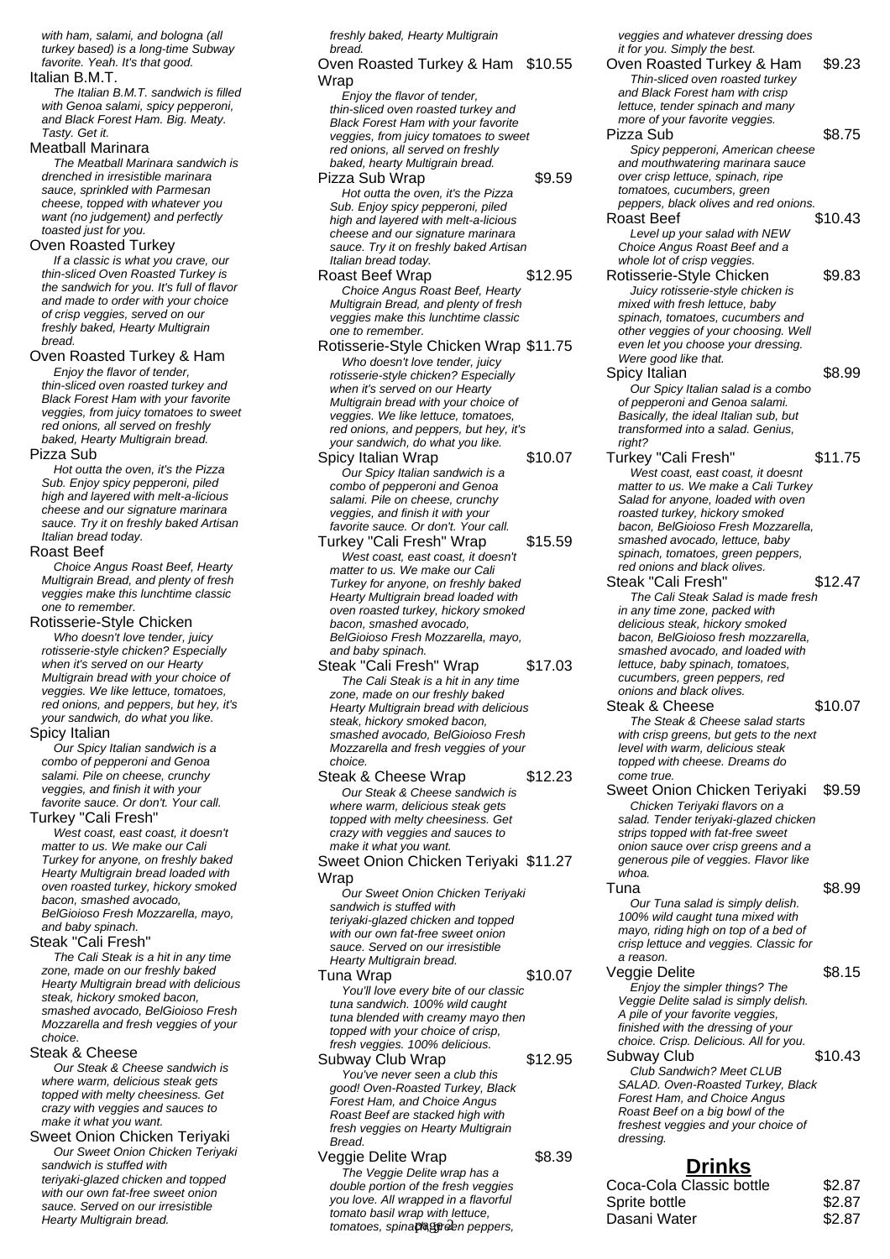with ham, salami, and bologna (all turkey based) is a long-time Subway favorite. Yeah. It's that good.

#### Italian B.M.T.

The Italian B.M.T. sandwich is filled with Genoa salami, spicy pepperoni, and Black Forest Ham. Big. Meaty. Tasty. Get it.

#### Meatball Marinara

The Meatball Marinara sandwich is drenched in irresistible marinara sauce, sprinkled with Parmesan cheese, topped with whatever you want (no judgement) and perfectly toasted just for you.

#### Oven Roasted Turkey

If a classic is what you crave, our thin-sliced Oven Roasted Turkey is the sandwich for you. It's full of flavor and made to order with your choice of crisp veggies, served on our freshly baked, Hearty Multigrain bread.

#### Oven Roasted Turkey & Ham

Enjoy the flavor of tender, thin-sliced oven roasted turkey and Black Forest Ham with your favorite veggies, from juicy tomatoes to sweet red onions, all served on freshly baked, Hearty Multigrain bread.

#### Pizza Sub

Hot outta the oven, it's the Pizza Sub. Enjoy spicy pepperoni, piled high and layered with melt-a-licious cheese and our signature marinara sauce. Try it on freshly baked Artisan Italian bread today.

#### Roast Beef

Choice Angus Roast Beef, Hearty Multigrain Bread, and plenty of fresh veggies make this lunchtime classic one to remember.

#### Rotisserie-Style Chicken

Who doesn't love tender, juicy rotisserie-style chicken? Especially when it's served on our Hearty Multigrain bread with your choice of veggies. We like lettuce, tomatoes, red onions, and peppers, but hey, it's your sandwich, do what you like.

#### Spicy Italian

Our Spicy Italian sandwich is a combo of pepperoni and Genoa salami. Pile on cheese, crunchy veggies, and finish it with your favorite sauce. Or don't. Your call.

#### Turkey "Cali Fresh"

West coast, east coast, it doesn't matter to us. We make our Cali Turkey for anyone, on freshly baked Hearty Multigrain bread loaded with oven roasted turkey, hickory smoked bacon, smashed avocado, BelGioioso Fresh Mozzarella, mayo, and baby spinach.

Steak "Cali Fresh"

The Cali Steak is a hit in any time zone, made on our freshly baked Hearty Multigrain bread with delicious steak, hickory smoked bacon, smashed avocado, BelGioioso Fresh Mozzarella and fresh veggies of your choice.

#### Steak & Cheese

Our Steak & Cheese sandwich is where warm, delicious steak gets topped with melty cheesiness. Get crazy with veggies and sauces to make it what you want.

Sweet Onion Chicken Teriyaki Our Sweet Onion Chicken Teriyaki sandwich is stuffed with teriyaki-glazed chicken and topped with our own fat-free sweet onion sauce. Served on our irresistible Hearty Multigrain bread.

freshly baked, Hearty Multigrain bread.

### Oven Roasted Turkey & Ham \$10.55 Wrap

Enjoy the flavor of tender, thin-sliced oven roasted turkey and Black Forest Ham with your favorite veggies, from juicy tomatoes to sweet red onions, all served on freshly baked, hearty Multigrain bread.

#### Pizza Sub Wrap  $$9.59$ Hot outta the oven, it's the Pizza Sub. Enjoy spicy pepperoni, piled high and layered with melt-a-licious cheese and our signature marinara sauce. Try it on freshly baked Artisan Italian bread today.

- Roast Beef Wrap \$12.95 Choice Angus Roast Beef, Hearty Multigrain Bread, and plenty of fresh veggies make this lunchtime classic one to remember.
- Rotisserie-Style Chicken Wrap \$11.75 Who doesn't love tender, juicy rotisserie-style chicken? Especially when it's served on our Hearty Multigrain bread with your choice of veggies. We like lettuce, tomatoes, red onions, and peppers, but hey, it's your sandwich, do what you like. Spicy Italian Wrap \$10.07
- Our Spicy Italian sandwich is a combo of pepperoni and Genoa salami. Pile on cheese, crunchy veggies, and finish it with your favorite sauce. Or don't. Your call.
- Turkey "Cali Fresh" Wrap \$15.59 West coast, east coast, it doesn't matter to us. We make our Cali Turkey for anyone, on freshly baked Hearty Multigrain bread loaded with oven roasted turkey, hickory smoked bacon, smashed avocado, BelGioioso Fresh Mozzarella, mayo, and baby spinach.
- Steak "Cali Fresh" Wrap \$17.03 The Cali Steak is a hit in any time zone, made on our freshly baked Hearty Multigrain bread with delicious steak, hickory smoked bacon, smashed avocado, BelGioioso Fresh Mozzarella and fresh veggies of your choice

Steak & Cheese Wrap \$12.23 Our Steak & Cheese sandwich is where warm, delicious steak gets topped with melty cheesiness. Get crazy with veggies and sauces to make it what you want. Sweet Onion Chicken Teriyaki \$11.27

**Wrap** 

Our Sweet Onion Chicken Teriyaki sandwich is stuffed with teriyaki-glazed chicken and topped with our own fat-free sweet onion sauce. Served on our irresistible Hearty Multigrain bread.

Tuna Wrap  $$10.07$ You'll love every bite of our classic tuna sandwich. 100% wild caught tuna blended with creamy mayo then topped with your choice of crisp, fresh veggies. 100% delicious.

#### Subway Club Wrap \$12.95 You've never seen a club this good! Oven-Roasted Turkey, Black Forest Ham, and Choice Angus Roast Beef are stacked high with fresh veggies on Hearty Multigrain Bread.

Veggie Delite Wrap **\$8.39** The Veggie Delite wrap has a double portion of the fresh veggies you love. All wrapped in a flavorful tomato basil wrap with lettuce,

veggies and whatever dressing does it for you. Simply the best.

Oven Roasted Turkey & Ham \$9.23 Thin-sliced oven roasted turkey and Black Forest ham with crisp lettuce, tender spinach and many more of your favorite veggies. Pizza Sub \$8.75 Spicy pepperoni, American cheese and mouthwatering marinara sauce over crisp lettuce, spinach, ripe tomatoes, cucumbers, green peppers, black olives and red onions. Roast Beef \$10.43 Level up your salad with NEW Choice Angus Roast Beef and a whole lot of crisp veggies. Rotisserie-Style Chicken \$9.83 Juicy rotisserie-style chicken is mixed with fresh lettuce, baby spinach, tomatoes, cucumbers and other veggies of your choosing. Well even let you choose your dressing. Were good like that. Spicy Italian \$8.99 Our Spicy Italian salad is a combo of pepperoni and Genoa salami. Basically, the ideal Italian sub, but transformed into a salad. Genius, right? Turkey "Cali Fresh" \$11.75 West coast, east coast, it doesnt matter to us. We make a Cali Turkey Salad for anyone, loaded with oven roasted turkey, hickory smoked bacon, BelGioioso Fresh Mozzarella, smashed avocado, lettuce, baby spinach, tomatoes, green peppers, red onions and black olives. Steak "Cali Fresh" \$12.47 The Cali Steak Salad is made fresh in any time zone, packed with delicious steak, hickory smoked bacon, BelGioioso fresh mozzarella, smashed avocado, and loaded with lettuce, baby spinach, tomatoes, cucumbers, green peppers, red onions and black olives. Steak & Cheese \$10.07 The Steak & Cheese salad starts with crisp greens, but gets to the next level with warm, delicious steak topped with cheese. Dreams do come true. Sweet Onion Chicken Teriyaki \$9.59 Chicken Teriyaki flavors on a salad. Tender teriyaki-glazed chicken strips topped with fat-free sweet onion sauce over crisp greens and a generous pile of veggies. Flavor like whoa. Tuna \$8.99 Our Tuna salad is simply delish. 100% wild caught tuna mixed with mayo, riding high on top of a bed of crisp lettuce and veggies. Classic for a reason. Veggie Delite  $$8.15$ Enjoy the simpler things? The Veggie Delite salad is simply delish. A pile of your favorite veggies, finished with the dressing of your choice. Crisp. Delicious. All for you. Subway Club \$10.43 Club Sandwich? Meet CLUB SALAD. Oven-Roasted Turkey, Black Forest Ham, and Choice Angus Roast Beef on a big bowl of the freshest veggies and your choice of dressing.

# **Drinks**

| double portion of the fresh veggies  | Coca-Cola Classic bottle | \$2.87 |
|--------------------------------------|--------------------------|--------|
| you love. All wrapped in a flavorful | Sprite bottle            | \$2.87 |
| tomato basil wrap with lettuce.      | Dasani Water             | \$2.87 |
| tomatoes, spinaphegreen peppers,     |                          |        |